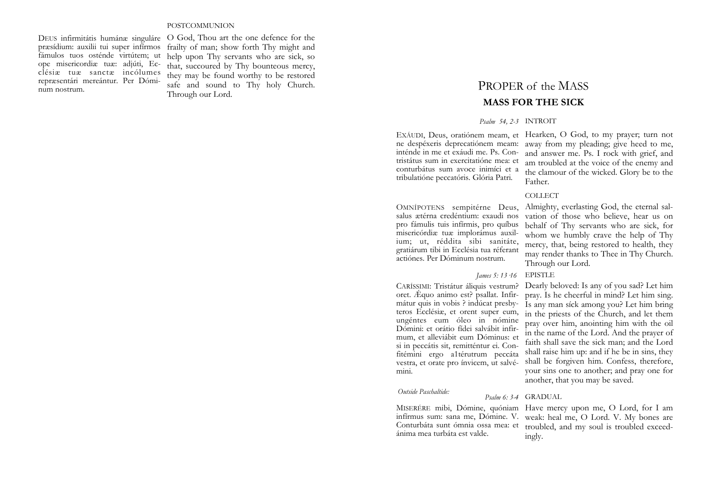#### POSTCOMMUNION

fámulos tuos osténde virtútem; ut ope misericordiæ tuæ: adjúti, Ecclésiæ tuæ sanctæ incólumes repræsentári mereántur. Per Dóminum nostrum.

DEUS infirmitátis humánæ singuláre O God, Thou art the one defence for the præsídium: auxilii tui super infírmos frailty of man; show forth Thy might and help upon Thy servants who are sick, so that, succoured by Thy bounteous mercy, they may be found worthy to be restored safe and sound to Thy holy Church. Through our Lord.

# PROPER of the MASS **MASS FOR THE SICK**

#### *Psalm 54, 2-3* INTROIT

EXÁUDI, Deus, oratiónem meam, et Hearken, O God, to my prayer; turn not inténde in me et exáudi me. Ps. Contristátus sum in exercitatióne mea: et conturbátus sum avoce inimíci et a tribulatióne peccatóris. Glória Patri.

ne despéxeris deprecatiónem meam: away from my pleading; give heed to me, and answer me. Ps. I rock with grief, and am troubled at the voice of the enemy and the clamour of the wicked. Glory be to the Father.

#### COLLECT

salus ætérna credéntium: exaudi nos pro fámulis tuis infírmis, pro quíbus misericórdiæ tuæ implorámus auxilium; ut, réddita sibi sanitáte, gratiárum tibi in Ecclésia tua réferant actiónes. Per Dóminum nostrum.

# *James 5: 13·16* EPISTLE

oret. Æquo animo est? psallat. Infirmátur quis in vobis ? indúcat presbyteros Ecclésiæ, et orent super eum, ungéntes eum óleo in nómine Dómini: et orátio fídei salvábit infirmum, et alleviábit eum Dóminus: et si in peccátis sit, remitténtur ei. Confitémini ergo a1térutrum peccáta vestra, et orate pro ínvicem, ut salvémini.

#### *Outside Paschaltide:*

ánima mea turbáta est valde.

OMNÍPOTENS sempitérne Deus, Almighty, everlasting God, the eternal salvation of those who believe, hear us on behalf of Thy servants who are sick, for whom we humbly crave the help of Thy mercy, that, being restored to health, they may render thanks to Thee in Thy Church. Through our Lord.

CARÍSSIMI: Tristátur áliquis vestrum? Dearly beloved: Is any of you sad? Let him pray. Is he cheerful in mind? Let him sing. Is any man síck among you? Let him bring in the priests of the Church, and let them pray over him, anointing him with the oil in the name of the Lord. And the prayer of faith shall save the sick man; and the Lord shall raise him up: and if he be in sins, they shall be forgiven him. Confess, therefore, your sins one to another; and pray one for another, that you may be saved.

#### *Psalm 6: 3-4* GRADUAL

MISERÉRE mibi, Dómine, quóniam Have mercy upon me, O Lord, for I am infírmus sum: sana me, Dómine. V. weak: heal me, O Lord. V. My bones are Conturbáta sunt ómnia ossa mea: et troubled, and my soul is troubled exceedingly.